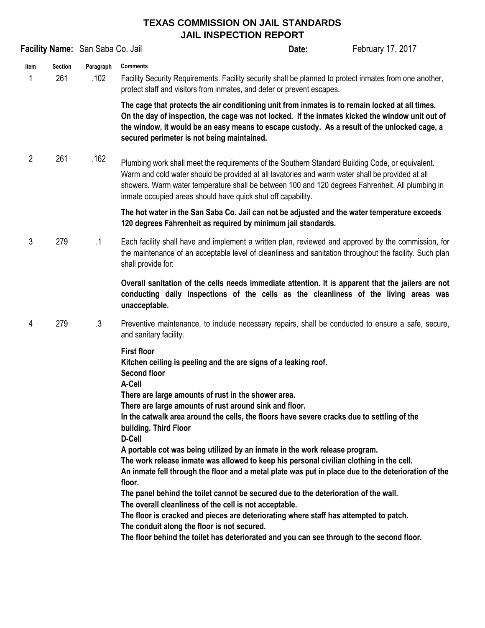## **TEXAS COMMISSION ON JAIL STANDARDS JAIL INSPECTION REPORT**

|                       |                   |                                                                                                                                                                                                                                                                                                                                                                          | Date:                                      | February 17, 2017                                                                                                                                                                                                                                                                                                                                                                                                                                                                                                                                           |
|-----------------------|-------------------|--------------------------------------------------------------------------------------------------------------------------------------------------------------------------------------------------------------------------------------------------------------------------------------------------------------------------------------------------------------------------|--------------------------------------------|-------------------------------------------------------------------------------------------------------------------------------------------------------------------------------------------------------------------------------------------------------------------------------------------------------------------------------------------------------------------------------------------------------------------------------------------------------------------------------------------------------------------------------------------------------------|
| <b>Section</b><br>261 | Paragraph<br>.102 | <b>Comments</b><br>Facility Security Requirements. Facility security shall be planned to protect inmates from one another,<br>protect staff and visitors from inmates, and deter or prevent escapes.                                                                                                                                                                     |                                            |                                                                                                                                                                                                                                                                                                                                                                                                                                                                                                                                                             |
|                       |                   | The cage that protects the air conditioning unit from inmates is to remain locked at all times.<br>On the day of inspection, the cage was not locked. If the inmates kicked the window unit out of<br>the window, it would be an easy means to escape custody. As a result of the unlocked cage, a<br>secured perimeter is not being maintained.                         |                                            |                                                                                                                                                                                                                                                                                                                                                                                                                                                                                                                                                             |
| $\overline{2}$<br>261 | .162              | Plumbing work shall meet the requirements of the Southern Standard Building Code, or equivalent.<br>Warm and cold water should be provided at all lavatories and warm water shall be provided at all<br>showers. Warm water temperature shall be between 100 and 120 degrees Fahrenheit. All plumbing in<br>inmate occupied areas should have quick shut off capability. |                                            |                                                                                                                                                                                                                                                                                                                                                                                                                                                                                                                                                             |
|                       |                   | The hot water in the San Saba Co. Jail can not be adjusted and the water temperature exceeds<br>120 degrees Fahrenheit as required by minimum jail standards.                                                                                                                                                                                                            |                                            |                                                                                                                                                                                                                                                                                                                                                                                                                                                                                                                                                             |
| 3<br>279              | $\cdot$ 1         | Each facility shall have and implement a written plan, reviewed and approved by the commission, for<br>the maintenance of an acceptable level of cleanliness and sanitation throughout the facility. Such plan<br>shall provide for:                                                                                                                                     |                                            |                                                                                                                                                                                                                                                                                                                                                                                                                                                                                                                                                             |
|                       |                   | Overall sanitation of the cells needs immediate attention. It is apparent that the jailers are not<br>conducting daily inspections of the cells as the cleanliness of the living areas was<br>unacceptable.                                                                                                                                                              |                                            |                                                                                                                                                                                                                                                                                                                                                                                                                                                                                                                                                             |
| 279<br>4              | $.3\,$            | and sanitary facility.                                                                                                                                                                                                                                                                                                                                                   |                                            |                                                                                                                                                                                                                                                                                                                                                                                                                                                                                                                                                             |
|                       |                   | <b>First floor</b><br><b>Second floor</b><br>A-Cell                                                                                                                                                                                                                                                                                                                      |                                            |                                                                                                                                                                                                                                                                                                                                                                                                                                                                                                                                                             |
|                       |                   | There are large amounts of rust in the shower area.<br>There are large amounts of rust around sink and floor.<br>In the catwalk area around the cells, the floors have severe cracks due to settling of the<br>building. Third Floor                                                                                                                                     |                                            |                                                                                                                                                                                                                                                                                                                                                                                                                                                                                                                                                             |
|                       |                   | A portable cot was being utilized by an inmate in the work release program.<br>The work release inmate was allowed to keep his personal civilian clothing in the cell.<br>An inmate fell through the floor and a metal plate was put in place due to the deterioration of the<br>floor.                                                                                  |                                            |                                                                                                                                                                                                                                                                                                                                                                                                                                                                                                                                                             |
|                       |                   |                                                                                                                                                                                                                                                                                                                                                                          |                                            |                                                                                                                                                                                                                                                                                                                                                                                                                                                                                                                                                             |
|                       |                   |                                                                                                                                                                                                                                                                                                                                                                          | Facility Name: San Saba Co. Jail<br>D-Cell | Preventive maintenance, to include necessary repairs, shall be conducted to ensure a safe, secure,<br>Kitchen ceiling is peeling and the are signs of a leaking roof.<br>The panel behind the toilet cannot be secured due to the deterioration of the wall.<br>The overall cleanliness of the cell is not acceptable.<br>The floor is cracked and pieces are deteriorating where staff has attempted to patch.<br>The conduit along the floor is not secured.<br>The floor behind the toilet has deteriorated and you can see through to the second floor. |